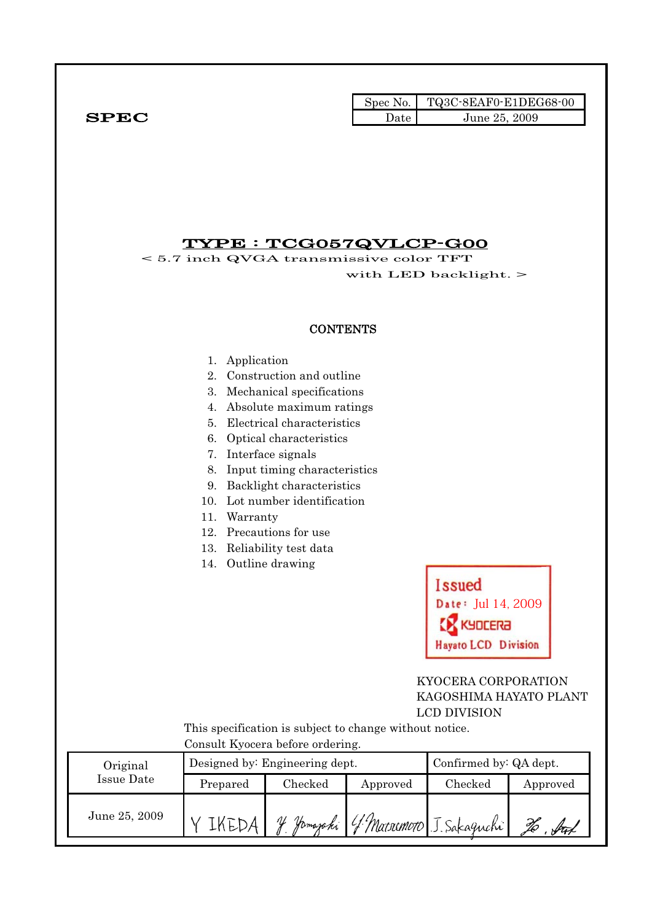|              |      | Spec No. TQ3C-8EAF0-E1DEG68-00 |
|--------------|------|--------------------------------|
| ${\bf SPEC}$ | Date | June 25, 2009                  |

### TYPE : TCG057QVLCP-G00

< 5.7 inch QVGA transmissive color TFT with LED backlight. >

#### **CONTENTS**

- 1. Application
- 2. Construction and outline
- 3. Mechanical specifications
- 4. Absolute maximum ratings
- 5. Electrical characteristics
- 6. Optical characteristics
- 7. Interface signals
- 8. Input timing characteristics
- 9. Backlight characteristics
- 10. Lot number identification
- 11. Warranty
- 12. Precautions for use
- 13. Reliability test data
- 14. Outline drawing



#### KYOCERA CORPORATION KAGOSHIMA HAYATO PLANT LCD DIVISION

 This specification is subject to change without notice. Consult Kyocera before ordering.

| Original      |          | Designed by: Engineering dept. | Confirmed by: QA dept. |                          |          |
|---------------|----------|--------------------------------|------------------------|--------------------------|----------|
| Issue Date    | Prepared | $\rm Checked$                  | Approved               | Checked                  | Approved |
| June 25, 2009 |          | Homazaki<br>V                  |                        | 4 Marsonoto J. Sakaguchi |          |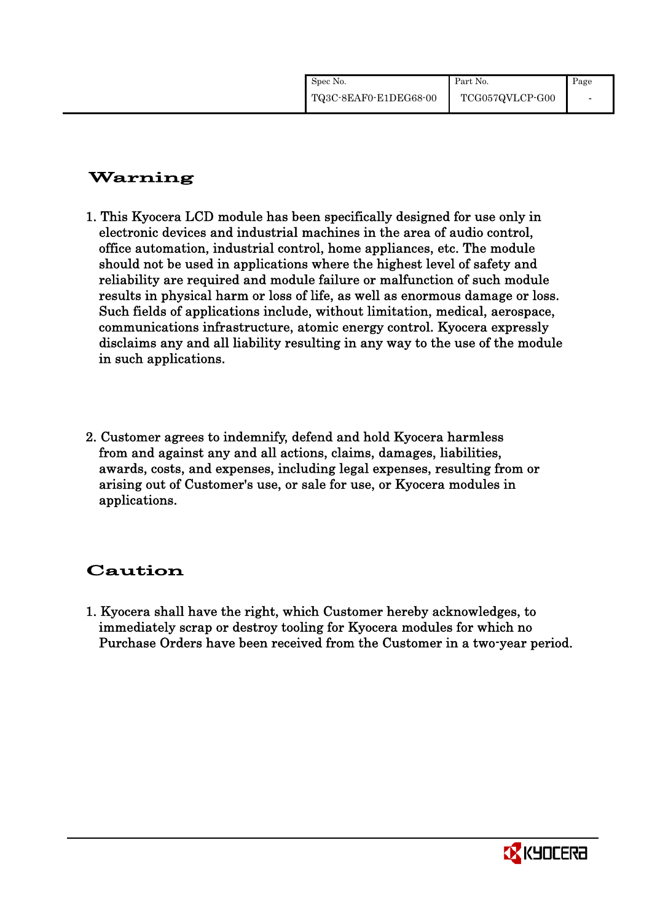| Spec No.              | Part No.        | Page |
|-----------------------|-----------------|------|
| TQ3C-8EAF0-E1DEG68-00 | TCG057QVLCP-G00 |      |

## Warning

- 1. This Kyocera LCD module has been specifically designed for use only in electronic devices and industrial machines in the area of audio control, office automation, industrial control, home appliances, etc. The module should not be used in applications where the highest level of safety and reliability are required and module failure or malfunction of such module results in physical harm or loss of life, as well as enormous damage or loss. Such fields of applications include, without limitation, medical, aerospace, communications infrastructure, atomic energy control. Kyocera expressly disclaims any and all liability resulting in any way to the use of the module in such applications.
- 2. Customer agrees to indemnify, defend and hold Kyocera harmless from and against any and all actions, claims, damages, liabilities, awards, costs, and expenses, including legal expenses, resulting from or arising out of Customer's use, or sale for use, or Kyocera modules in applications.

## Caution

1. Kyocera shall have the right, which Customer hereby acknowledges, to immediately scrap or destroy tooling for Kyocera modules for which no Purchase Orders have been received from the Customer in a two-year period.

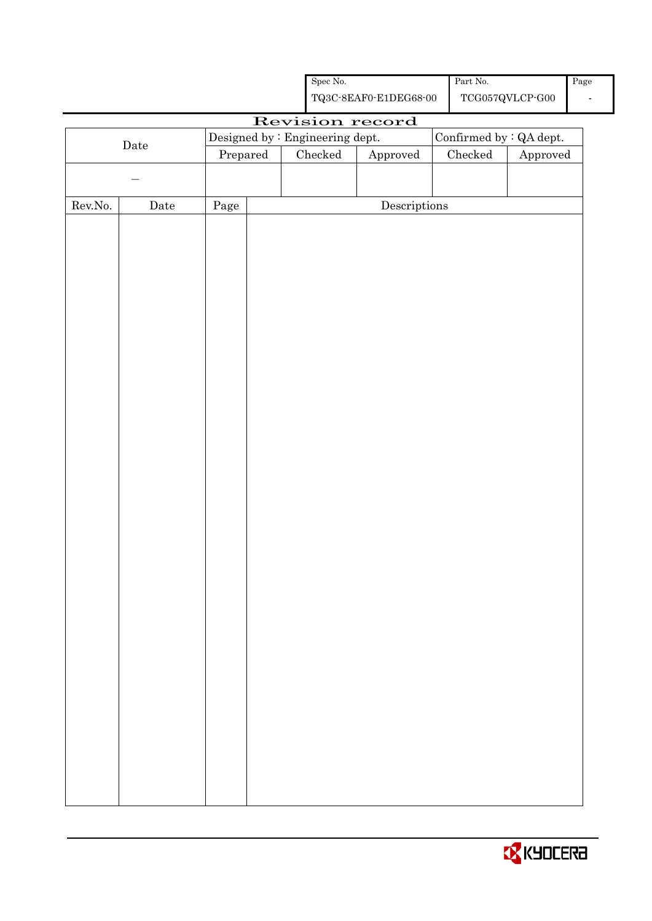|                  |             |                                 |                                                                                               | Spec No. |                                      | Part No. |                         | Page |
|------------------|-------------|---------------------------------|-----------------------------------------------------------------------------------------------|----------|--------------------------------------|----------|-------------------------|------|
|                  |             |                                 | ${\bf TQ3C\text{-}SEAF0\text{-}E1DEG68\text{-}00}$<br>$\operatorname{TCG057QVLCP\text{-}G00}$ |          |                                      |          | $\blacksquare$          |      |
|                  |             |                                 |                                                                                               |          | Revision record                      |          |                         |      |
|                  |             | Designed by : Engineering dept. |                                                                                               |          |                                      |          | Confirmed by : QA dept. |      |
|                  | Date        | Prepared                        |                                                                                               | Checked  | Approved                             | Checked  | Approved                |      |
|                  |             |                                 |                                                                                               |          |                                      |          |                         |      |
|                  |             |                                 |                                                                                               |          |                                      |          |                         |      |
| ${\rm Rev. No.}$ | $\rm{Date}$ | Page                            |                                                                                               |          | $\label{eq:2} \textbf{Descriptions}$ |          |                         |      |
|                  |             |                                 |                                                                                               |          |                                      |          |                         |      |
|                  |             |                                 |                                                                                               |          |                                      |          |                         |      |
|                  |             |                                 |                                                                                               |          |                                      |          |                         |      |
|                  |             |                                 |                                                                                               |          |                                      |          |                         |      |
|                  |             |                                 |                                                                                               |          |                                      |          |                         |      |
|                  |             |                                 |                                                                                               |          |                                      |          |                         |      |
|                  |             |                                 |                                                                                               |          |                                      |          |                         |      |
|                  |             |                                 |                                                                                               |          |                                      |          |                         |      |
|                  |             |                                 |                                                                                               |          |                                      |          |                         |      |
|                  |             |                                 |                                                                                               |          |                                      |          |                         |      |
|                  |             |                                 |                                                                                               |          |                                      |          |                         |      |
|                  |             |                                 |                                                                                               |          |                                      |          |                         |      |
|                  |             |                                 |                                                                                               |          |                                      |          |                         |      |
|                  |             |                                 |                                                                                               |          |                                      |          |                         |      |
|                  |             |                                 |                                                                                               |          |                                      |          |                         |      |
|                  |             |                                 |                                                                                               |          |                                      |          |                         |      |
|                  |             |                                 |                                                                                               |          |                                      |          |                         |      |
|                  |             |                                 |                                                                                               |          |                                      |          |                         |      |
|                  |             |                                 |                                                                                               |          |                                      |          |                         |      |
|                  |             |                                 |                                                                                               |          |                                      |          |                         |      |
|                  |             |                                 |                                                                                               |          |                                      |          |                         |      |
|                  |             |                                 |                                                                                               |          |                                      |          |                         |      |
|                  |             |                                 |                                                                                               |          |                                      |          |                         |      |
|                  |             |                                 |                                                                                               |          |                                      |          |                         |      |
|                  |             |                                 |                                                                                               |          |                                      |          |                         |      |
|                  |             |                                 |                                                                                               |          |                                      |          |                         |      |
|                  |             |                                 |                                                                                               |          |                                      |          |                         |      |
|                  |             |                                 |                                                                                               |          |                                      |          |                         |      |
|                  |             |                                 |                                                                                               |          |                                      |          |                         |      |
|                  |             |                                 |                                                                                               |          |                                      |          |                         |      |
|                  |             |                                 |                                                                                               |          |                                      |          |                         |      |
|                  |             |                                 |                                                                                               |          |                                      |          |                         |      |
|                  |             |                                 |                                                                                               |          |                                      |          |                         |      |
|                  |             |                                 |                                                                                               |          |                                      |          |                         |      |

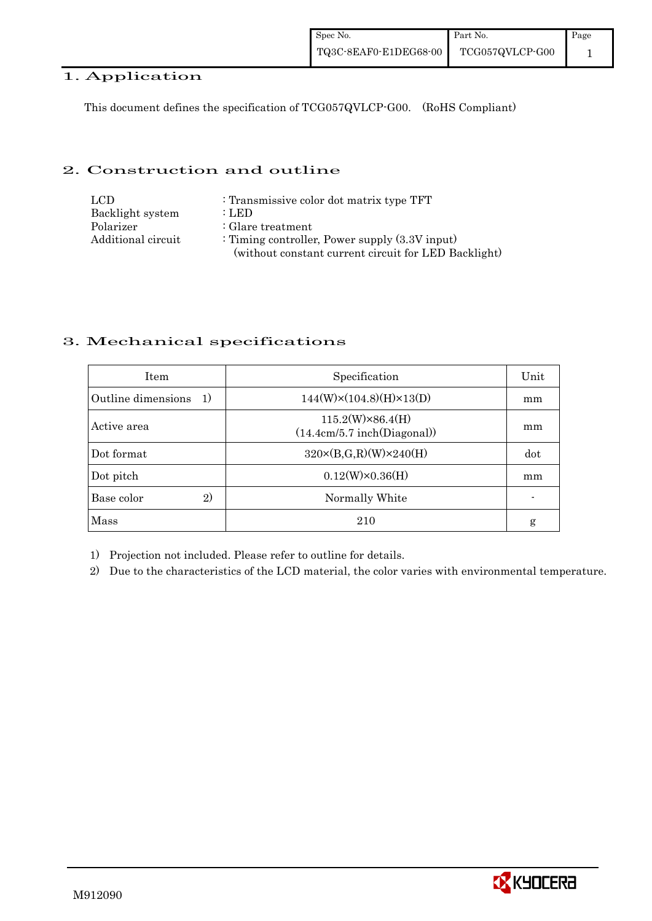#### 1. Application

This document defines the specification of TCG057QVLCP-G00. (RoHS Compliant)

#### 2. Construction and outline

| LCD.               | : Transmissive color dot matrix type TFT             |
|--------------------|------------------------------------------------------|
| Backlight system   | : LED                                                |
| Polarizer          | : Glare treatment                                    |
| Additional circuit | : Timing controller, Power supply $(3.3V$ input)     |
|                    | (without constant current circuit for LED Backlight) |

#### 3. Mechanical specifications

| <b>Item</b>               | Specification                                          | Unit |
|---------------------------|--------------------------------------------------------|------|
| Outline dimensions<br>-1) | $144(W)\times(104.8)(H)\times13(D)$                    | mm   |
| Active area               | $115.2(W)\times86.4(H)$<br>(14.4cm/5.7 inch(Diagonal)) | mm   |
| Dot format                | $320 \times (B,G,R)(W) \times 240(H)$                  | dot  |
| Dot pitch                 | $0.12(W)\times0.36(H)$                                 | mm   |
| 2)<br>Base color          | Normally White                                         |      |
| Mass                      | 210                                                    | g    |

1) Projection not included. Please refer to outline for details.

2) Due to the characteristics of the LCD material, the color varies with environmental temperature.

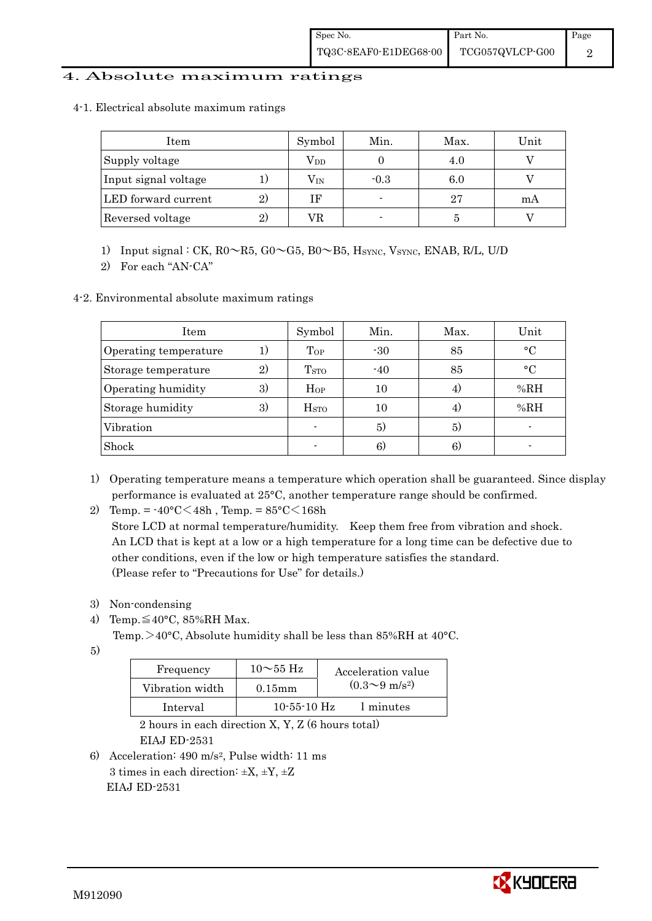#### 4. Absolute maximum ratings

4-1. Electrical absolute maximum ratings

| Item                 |              | Symbol       | Min.   | Max. | Unit |
|----------------------|--------------|--------------|--------|------|------|
| Supply voltage       |              | $\rm V_{DD}$ |        |      |      |
| Input signal voltage |              | $\rm V_{IN}$ | $-0.3$ | 6.0  |      |
| LED forward current  | 2)           | ΙF           |        | 27   | mА   |
| Reversed voltage     | $\mathbf{2}$ | VR           |        |      |      |

1) Input signal : CK,  $R0 \sim R5$ ,  $G0 \sim G5$ ,  $B0 \sim B5$ ,  $H_{\text{SYNC}}$ ,  $V_{\text{SYNC}}$ ,  $ENAB$ ,  $R/L$ ,  $U/D$ 

2) For each "AN-CA"

4-2. Environmental absolute maximum ratings

| Item                  |              | Symbol                  | Min.  | Max. | Unit        |
|-----------------------|--------------|-------------------------|-------|------|-------------|
| Operating temperature |              | Top                     | $-30$ | 85   | $\circ$ C   |
| Storage temperature   | $\mathbf{2}$ | T <sub>STO</sub>        | $-40$ | 85   | $^{\circ}C$ |
| Operating humidity    | 3)           | Hop                     | 10    |      | %RH         |
| Storage humidity      | 3)           | <b>H</b> <sub>STO</sub> | 10    | 4,   | %RH         |
| Vibration             |              |                         | 5)    | 5)   |             |
| Shock                 |              |                         | 6)    | 6)   |             |

- 1) Operating temperature means a temperature which operation shall be guaranteed. Since display performance is evaluated at 25°C, another temperature range should be confirmed.
- 2) Temp. =  $-40^{\circ}$ C $<$ 48h, Temp. =  $85^{\circ}$ C $<$ 168h

 Store LCD at normal temperature/humidity. Keep them free from vibration and shock. An LCD that is kept at a low or a high temperature for a long time can be defective due to other conditions, even if the low or high temperature satisfies the standard. (Please refer to "Precautions for Use" for details.)

- 3) Non-condensing
- 4) Temp. $\leq 40^{\circ}$ C, 85%RH Max.
	- Temp.  $>40^{\circ}$ C, Absolute humidity shall be less than 85%RH at 40°C.
- 5)

| Frequency       | $10\sim$ 55 Hz    | Acceleration value           |
|-----------------|-------------------|------------------------------|
| Vibration width | $0.15$ m m        | $(0.3 \sim 9 \text{ m/s}^2)$ |
| Interval        | $10 - 55 - 10$ Hz | 1 minutes                    |

 2 hours in each direction X, Y, Z (6 hours total) EIAJ ED-2531

6) Acceleration: 490 m/s2, Pulse width: 11 ms 3 times in each direction:  $\pm X$ ,  $\pm Y$ ,  $\pm Z$ EIAJ ED-2531

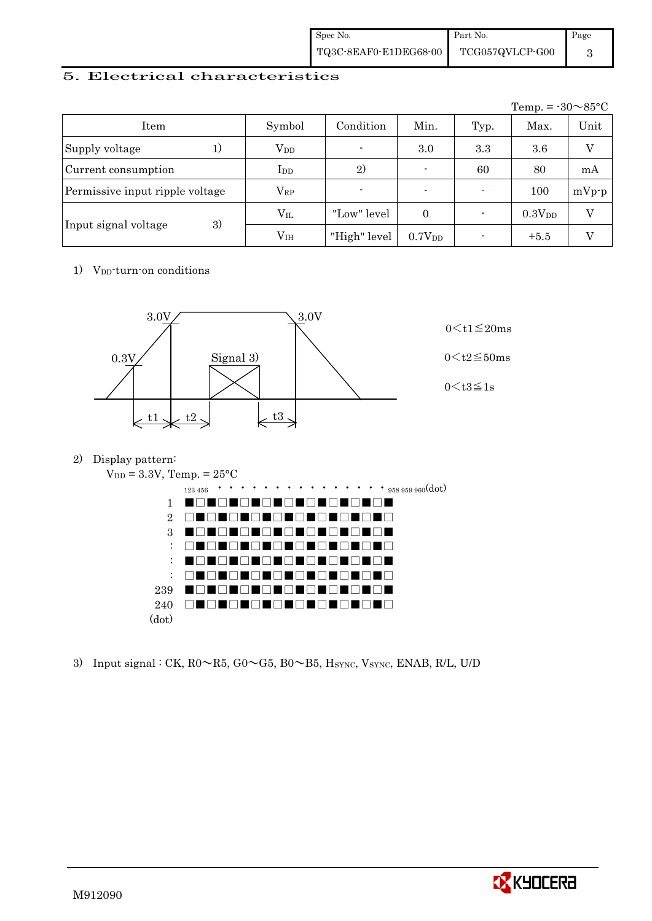| Spec No.              | Part No.        | Page |
|-----------------------|-----------------|------|
| TQ3C-8EAF0-E1DEG68-00 | TCG057QVLCP-G00 |      |

#### 5. Electrical characteristics

|                                 |               |                |                          |      | Temp. = $-30 \sim 85$ °C |         |
|---------------------------------|---------------|----------------|--------------------------|------|--------------------------|---------|
| Item                            | Symbol        | Condition      | Min.                     | Typ. | Max.                     | Unit    |
| Supply voltage<br>1)            | $\rm V_{DD}$  | $\blacksquare$ | 3.0                      | 3.3  | 3.6                      | V       |
| Current consumption             | $_{\rm{LDD}}$ | 2)             | $\overline{\phantom{0}}$ | 60   | 80                       | mA      |
| Permissive input ripple voltage | $\rm V_{RP}$  | $\blacksquare$ | $\blacksquare$           |      | 100                      | $mVp-p$ |
|                                 | $V_{IL}$      | "Low" level    | $\Omega$                 |      | 0.3V <sub>DD</sub>       | $\rm V$ |
| 3)<br>Input signal voltage      | $\rm V_{IH}$  | "High" level   | 0.7V <sub>DD</sub>       |      | $+5.5$                   |         |

1) V<sub>DD</sub>-turn-on conditions



2) Display pattern:



3) Input signal : CK,  $R0 \sim R5$ ,  $G0 \sim G5$ ,  $B0 \sim B5$ ,  $H<sub>SYNC</sub>$ ,  $V<sub>SYNC</sub>$ ,  $ENAB$ ,  $R/L$ ,  $U/D$ 

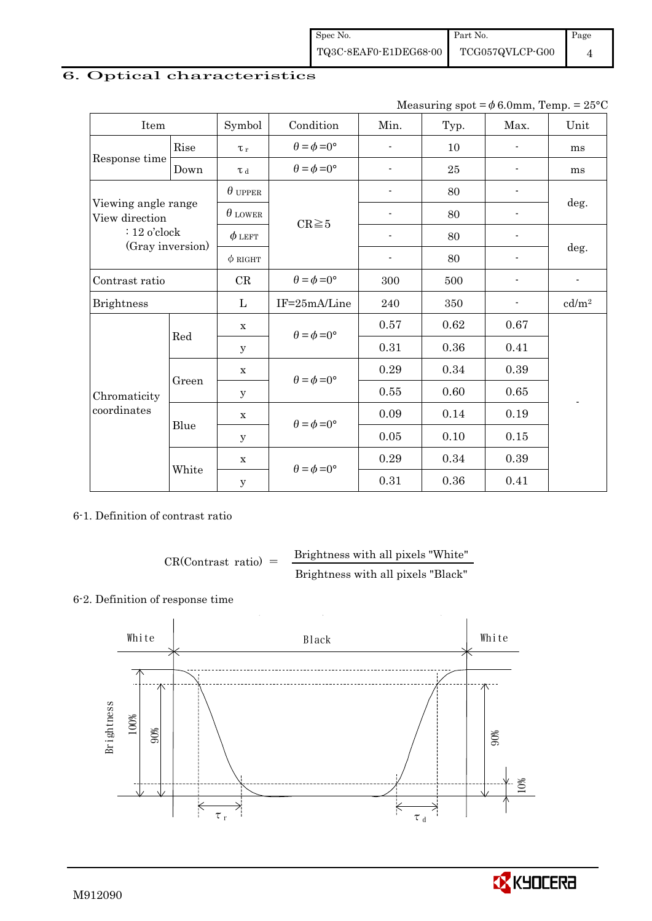### 6. Optical characteristics

Measuring spot =  $\phi$  6.0mm, Temp. = 25°C

| Item                                  |       | Symbol         | Condition                   | Min.                     | Typ.   | Max. | Unit                     |
|---------------------------------------|-------|----------------|-----------------------------|--------------------------|--------|------|--------------------------|
|                                       | Rise  | $\tau_r$       | $\theta = \phi = 0^{\circ}$ | $\overline{\phantom{a}}$ | 10     | ٠    | ms                       |
| Response time<br>Down                 |       | $\tau$ d       | $\theta = \phi = 0^{\circ}$ | $\overline{\phantom{a}}$ | $25\,$ |      | ms                       |
|                                       |       | $\theta$ upper |                             |                          | 80     |      |                          |
| Viewing angle range<br>View direction |       | $\theta$ lower | $CR \ge 5$                  |                          | 80     |      | deg.                     |
| $: 12$ o'clock                        |       | $\phi$ left    |                             |                          | 80     |      |                          |
| (Gray inversion)                      |       | $\phi$ RIGHT   |                             | $\overline{\phantom{a}}$ | 80     | ٠    | deg.                     |
| Contrast ratio                        |       | CR             | $\theta = \phi = 0^{\circ}$ | 300                      | 500    |      | $\overline{\phantom{a}}$ |
| <b>Brightness</b>                     |       | L              | IF=25mA/Line                | 240                      | 350    |      | cd/m <sup>2</sup>        |
|                                       | Red   | $\mathbf X$    | $\theta = \phi = 0^{\circ}$ | 0.57                     | 0.62   | 0.67 |                          |
|                                       |       | y              |                             | 0.31                     | 0.36   | 0.41 |                          |
|                                       |       | $\mathbf X$    | $\theta = \phi = 0^{\circ}$ | 0.29                     | 0.34   | 0.39 |                          |
| Chromaticity                          | Green | $\mathbf y$    |                             | $0.55\,$                 | 0.60   | 0.65 |                          |
| coordinates                           |       | $\mathbf X$    | $\theta = \phi = 0^{\circ}$ | 0.09                     | 0.14   | 0.19 |                          |
|                                       | Blue  | У              |                             | $0.05\,$                 | 0.10   | 0.15 |                          |
|                                       |       | $\mathbf X$    | $\theta = \phi = 0^{\circ}$ | 0.29                     | 0.34   | 0.39 |                          |
|                                       | White | $\mathbf y$    |                             | 0.31                     | 0.36   | 0.41 |                          |

6-1. Definition of contrast ratio

$$
CR(Contrast ratio) = \frac{Brightness with all pixels "White" }{Brightness with all pixels "Black" }
$$

#### 6-2. Definition of response time

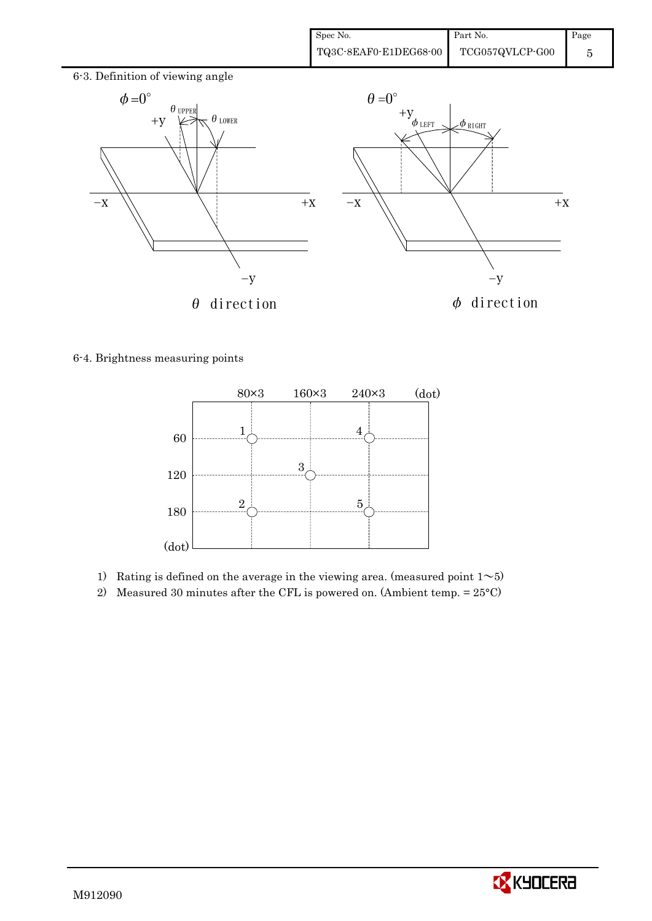

6-4. Brightness measuring points



- 1) Rating is defined on the average in the viewing area. (measured point  $1~$
- 2) Measured 30 minutes after the CFL is powered on. (Ambient temp.  $= 25^{\circ}$ C)

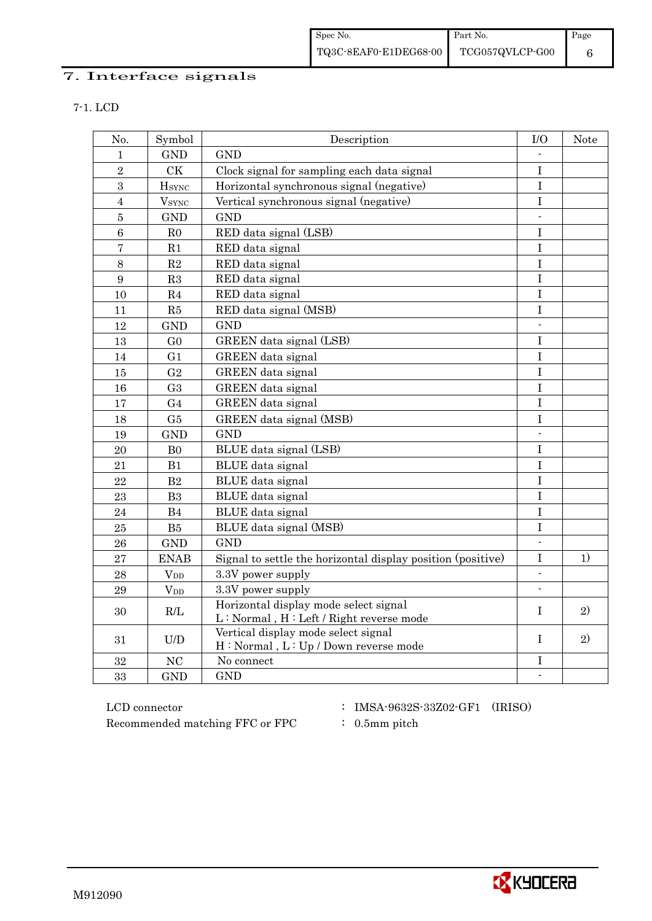# 7. Interface signals

|--|--|--|--|

| No.            | Symbol                   | Description                                                                                                                                                        | I/O                      | Note |
|----------------|--------------------------|--------------------------------------------------------------------------------------------------------------------------------------------------------------------|--------------------------|------|
| 1              | <b>GND</b>               | <b>GND</b>                                                                                                                                                         |                          |      |
| $\overline{2}$ | <b>CK</b>                | Clock signal for sampling each data signal                                                                                                                         | $\mathbf I$              |      |
| 3              | <b>HSYNC</b>             | Horizontal synchronous signal (negative)                                                                                                                           | $\bf I$                  |      |
| $\overline{4}$ | <b>V</b> <sub>SYNC</sub> | Vertical synchronous signal (negative)                                                                                                                             | I                        |      |
| $\overline{5}$ | <b>GND</b>               | <b>GND</b>                                                                                                                                                         | $\overline{\phantom{a}}$ |      |
| 6              | R <sub>0</sub>           | RED data signal (LSB)                                                                                                                                              | I                        |      |
| $\overline{7}$ | R1                       | RED data signal                                                                                                                                                    | I                        |      |
| $8\,$          | $\mathbf{R}2$            | RED data signal                                                                                                                                                    | $\bf I$                  |      |
| 9              | R3                       | RED data signal                                                                                                                                                    | $\rm I$                  |      |
| 10             | R4                       | RED data signal                                                                                                                                                    | $\rm I$                  |      |
| 11             | R5                       | RED data signal (MSB)                                                                                                                                              | $\bf I$                  |      |
| 12             | <b>GND</b>               | <b>GND</b>                                                                                                                                                         | $\blacksquare$           |      |
| 13             | G <sub>0</sub>           | GREEN data signal (LSB)                                                                                                                                            | $\mathbf I$              |      |
| 14             | G1                       | GREEN data signal                                                                                                                                                  | I                        |      |
| 15             | G <sub>2</sub>           | GREEN data signal                                                                                                                                                  | I                        |      |
| 16             | G <sub>3</sub>           | GREEN data signal                                                                                                                                                  | $\bf I$                  |      |
| 17             | G <sub>4</sub>           | GREEN data signal                                                                                                                                                  | $\overline{I}$           |      |
| 18             | G5                       | GREEN data signal (MSB)                                                                                                                                            | I                        |      |
| 19             | <b>GND</b>               | <b>GND</b>                                                                                                                                                         |                          |      |
| 20             | B <sub>0</sub>           | BLUE data signal (LSB)                                                                                                                                             | I                        |      |
| 21             | B1                       | BLUE data signal                                                                                                                                                   | I                        |      |
| 22             | B2                       | BLUE data signal                                                                                                                                                   | $\mathbf I$              |      |
| 23             | B <sub>3</sub>           | <b>BLUE</b> data signal                                                                                                                                            | $\bf I$                  |      |
| 24             | B4                       | BLUE data signal                                                                                                                                                   | $\mathbf I$              |      |
| 25             | ${\rm B}5$               | BLUE data signal (MSB)                                                                                                                                             | I                        |      |
| 26             | <b>GND</b>               | <b>GND</b>                                                                                                                                                         | $\overline{\phantom{a}}$ |      |
| 27             | <b>ENAB</b>              | Signal to settle the horizontal display position (positive)                                                                                                        | I                        | 1)   |
| 28             | $V_{DD}$                 | 3.3V power supply                                                                                                                                                  | $\mathbf{r}$             |      |
| 29             | $V_{DD}$                 | 3.3V power supply                                                                                                                                                  | $\overline{\phantom{a}}$ |      |
| 30             | $\mathbf{R}/\mathbf{L}$  | Horizontal display mode select signal<br>L: Normal, H: Left / Right reverse mode                                                                                   | I                        | 2)   |
| 31             | U/D                      | Vertical display mode select signal<br>$\mathrm{H}:\mathop{\rm Normal}\nolimits$ , $\mathrm{L}:\mathop{\rm Up}\nolimits / \mathop{\rm Down}\nolimits$ reverse mode | T                        | 2)   |
| 32             | <b>NC</b>                | No connect                                                                                                                                                         | I                        |      |
| 33             | <b>GND</b>               | <b>GND</b>                                                                                                                                                         |                          |      |

 ${\rm LCD~connector} ~~:~{\rm IMSA\text{-}9632S\text{-}33Z02\text{-}GF1}~~({\rm IRISO})$ Recommended matching FFC or FPC : 0.5mm pitch

- 
- 

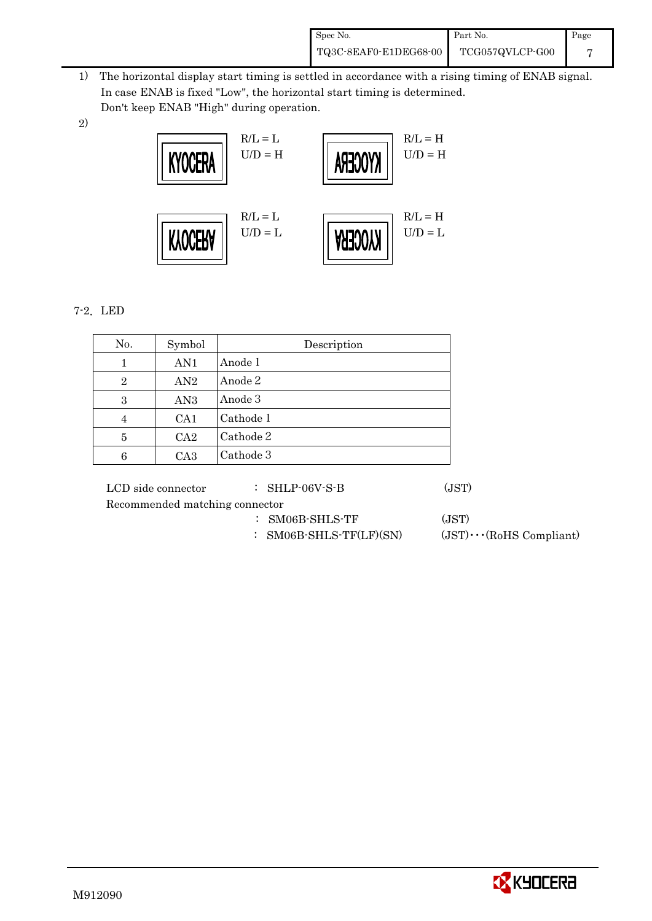| Spec No.              | Part No.        | Page |
|-----------------------|-----------------|------|
| TQ3C-8EAF0-E1DEG68-00 | TCG057QVLCP-G00 |      |

- 1) The horizontal display start timing is settled in accordance with a rising timing of ENAB signal. In case ENAB is fixed "Low", the horizontal start timing is determined. Don't keep ENAB "High" during operation.
- 2)



### 7-2.LED

| No.            | Symbol          | Description |
|----------------|-----------------|-------------|
| 1              | AN1             | Anode 1     |
| $\overline{2}$ | AN2             | Anode 2     |
| 3              | AN <sub>3</sub> | Anode 3     |
| 4              | CA <sub>1</sub> | Cathode 1   |
| 5              | CA2             | Cathode 2   |
| 6              | CA <sub>3</sub> | Cathode 3   |

LCD side connector : SHLP-06V-S-B (JST)

Recommended matching connector

- : SM06B-SHLS-TF (JST)
- : SM06B-SHLS-TF(LF)(SN) (JST)・・・(RoHS Compliant)

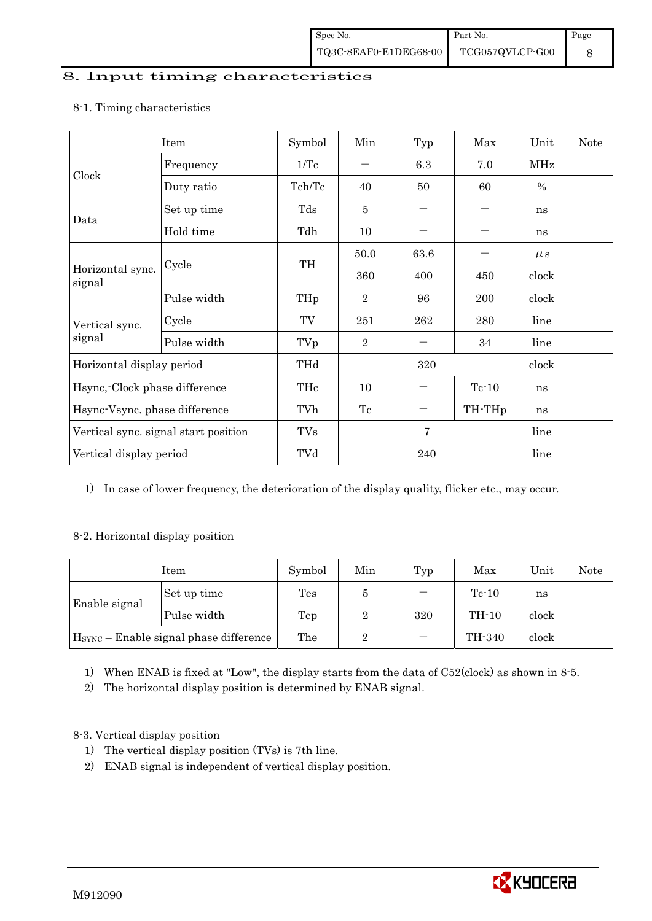### 8. Input timing characteristics

## Item Symbol Min Typ Max Unit Note Frequency  $1/Tc$   $6.3$   $7.0$  MHz Clock Duty ratio  $\begin{array}{|c|c|c|c|c|c|c|c|c|} \hline \end{array}$  Tch/Tc  $\begin{array}{|c|c|c|c|c|c|c|} \hline \end{array}$  60  $\begin{array}{|c|c|c|c|c|c|} \hline \end{array}$  % Set up time Tds 5 - - ns Data Hold time Tdh 10 - - ns  $50.0$  63.6 -  $\mu s$ Cycle TH Horizontal sync. Cycle TH 360 400 450 clock signal Pulse width  $THp \mid 2 \mid 96 \mid 200 \mid clock$ Cycle TV 251 262 280 line Vertical sync. signal Pulse width TVp 2 - 34 line Horizontal display period THd 320 clock Hsync,-Clock phase difference  $\vert$  THc  $\vert$  10  $\vert$  - Tc-10  $\vert$  ns Hsync-Vsync. phase difference  $\vert$  TVh  $\vert$  Tc  $\vert$  - TH-THp  $\vert$  ns Vertical sync. signal start position  $\begin{array}{|c|c|c|c|c|c|c|c|c|} \hline \end{array}$  TVs 7 line Vertical display period  $\overline{Y}$  TVd  $\overline{Z}$  240 line

#### 8-1. Timing characteristics

1) In case of lower frequency, the deterioration of the display quality, flicker etc., may occur.

#### 8-2. Horizontal display position

| Item                                               |             | Symbol | Min | Typ | Max     | Unit  | Note |
|----------------------------------------------------|-------------|--------|-----|-----|---------|-------|------|
|                                                    | Set up time | Tes    |     |     | $Tc-10$ | ns    |      |
| Enable signal                                      | Pulse width | Tep    | 2   | 320 | TH-10   | clock |      |
| H <sub>SYNC</sub> – Enable signal phase difference |             | The    | 2   |     | TH-340  | clock |      |

1) When ENAB is fixed at "Low", the display starts from the data of C52(clock) as shown in 8-5.

2) The horizontal display position is determined by ENAB signal.

### 8-3. Vertical display position

- 1) The vertical display position (TVs) is 7th line.
- 2) ENAB signal is independent of vertical display position.

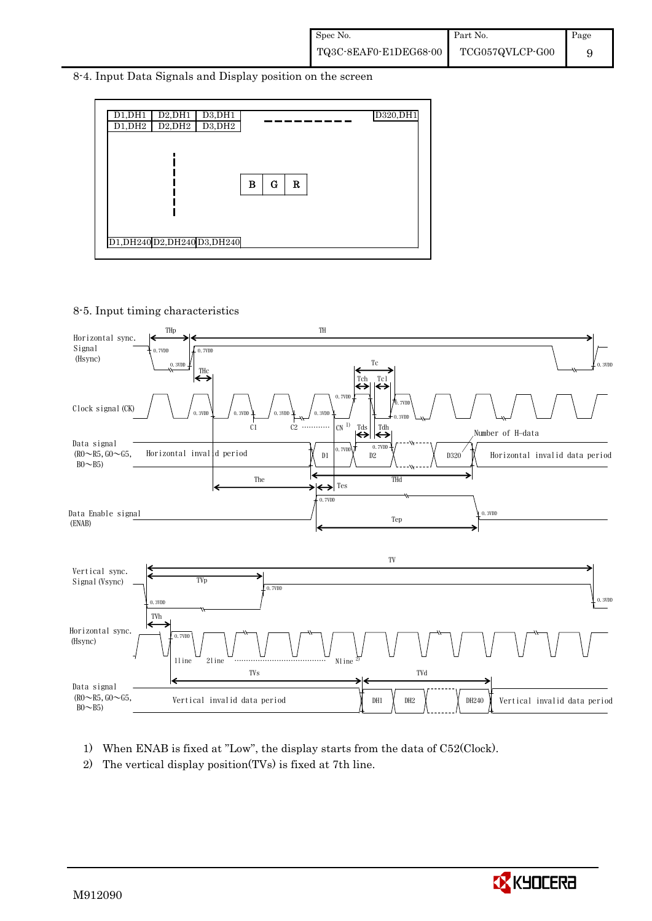8-4. Input Data Signals and Display position on the screen



8-5. Input timing characteristics



- 1) When ENAB is fixed at "Low", the display starts from the data of C52(Clock).
- 2) The vertical display position(TVs) is fixed at 7th line.

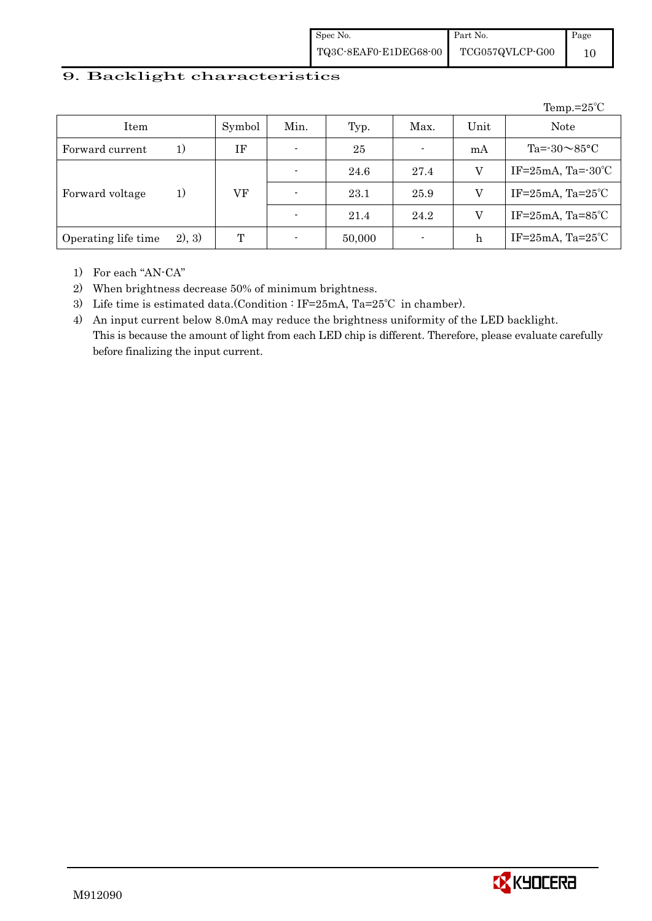| Spec No.              | Part No.        | Page |
|-----------------------|-----------------|------|
| TQ3C-8EAF0-E1DEG68-00 | TCG057QVLCP-G00 |      |

#### 9. Backlight characteristics

|                     |         |        |      |        |                          |      | Temp.= $25^{\circ}$ C            |
|---------------------|---------|--------|------|--------|--------------------------|------|----------------------------------|
| Item                |         | Symbol | Min. | Typ.   | Max.                     | Unit | <b>Note</b>                      |
| Forward current     | 1)      | ΙF     |      | 25     | $\blacksquare$           | mA   | Ta= $-30\sim85$ °C               |
|                     |         |        |      | 24.6   | 27.4                     | V    | IF= $25mA$ , Ta= $-30^{\circ}$ C |
| Forward voltage     | 1)      | VF     |      | 23.1   | 25.9                     | V    | IF= $25mA$ , Ta= $25^{\circ}$ C  |
|                     |         |        |      | 21.4   | 24.2                     | V    | IF= $25mA$ , Ta= $85^{\circ}$ C  |
| Operating life time | (2), 3) | T      |      | 50,000 | $\overline{\phantom{a}}$ | h    | IF= $25mA$ , Ta= $25^{\circ}$ C  |

1) For each "AN-CA"

2) When brightness decrease 50% of minimum brightness.

3) Life time is estimated data.(Condition : IF=25mA, Ta=25℃ in chamber).

4) An input current below 8.0mA may reduce the brightness uniformity of the LED backlight. This is because the amount of light from each LED chip is different. Therefore, please evaluate carefully before finalizing the input current.

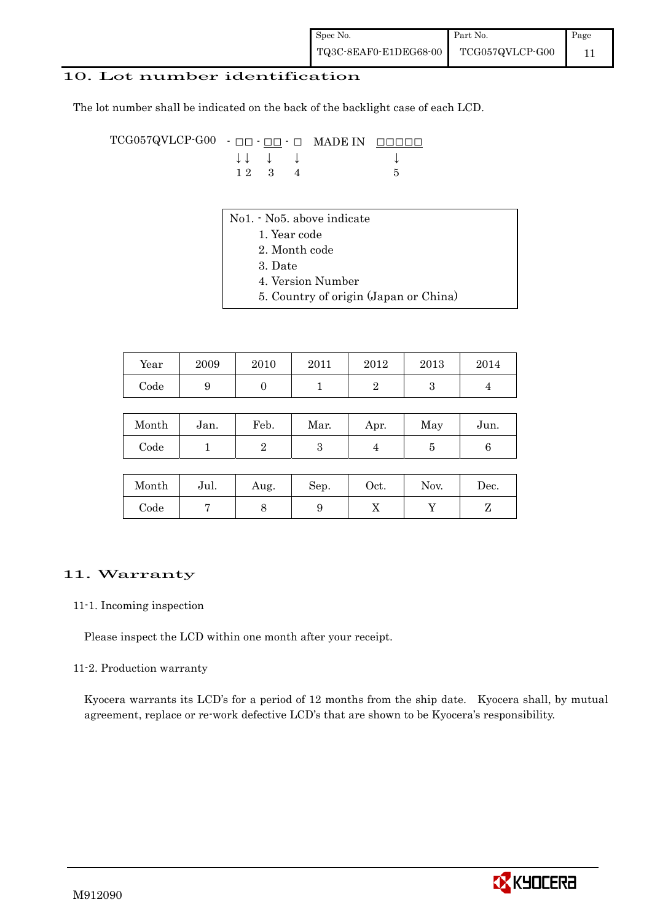| Spec No.              | Part No.        | Page |
|-----------------------|-----------------|------|
| TQ3C-8EAF0-E1DEG68-00 | TCG057QVLCP-G00 |      |

#### 10. Lot number identification

The lot number shall be indicated on the back of the backlight case of each LCD.

TCG057QVLCP-G00 - ŌŌ - ŌŌ - Ō MADE IN ŌŌŌŌŌ  $\downarrow \downarrow \quad \downarrow \quad \downarrow \qquad \qquad \downarrow$  $1 \ 2 \ 3 \ 4$  5

- No1. No5. above indicate
	- 1. Year code
		- 2. Month code
		- 3. Date
		- 4. Version Number
	- 5. Country of origin (Japan or China)

| Year | 2009 | 2010 | 2011 | 2012 | 2013 | 2014 |
|------|------|------|------|------|------|------|
| Code |      |      |      |      |      |      |

| Month | Jan. | Feb. | Mar. | Apr. | May | Jun. |
|-------|------|------|------|------|-----|------|
| Code  |      |      |      |      |     |      |

| Month      | Jul. | Aug. | Sep. | Oct. | Nov. | $\operatorname{Dec.}$ |
|------------|------|------|------|------|------|-----------------------|
| $\rm Code$ |      |      |      | ∡⊾   |      |                       |

#### 11. Warranty

#### 11-1. Incoming inspection

Please inspect the LCD within one month after your receipt.

#### 11-2. Production warranty

 Kyocera warrants its LCD's for a period of 12 months from the ship date. Kyocera shall, by mutual agreement, replace or re-work defective LCD's that are shown to be Kyocera's responsibility.

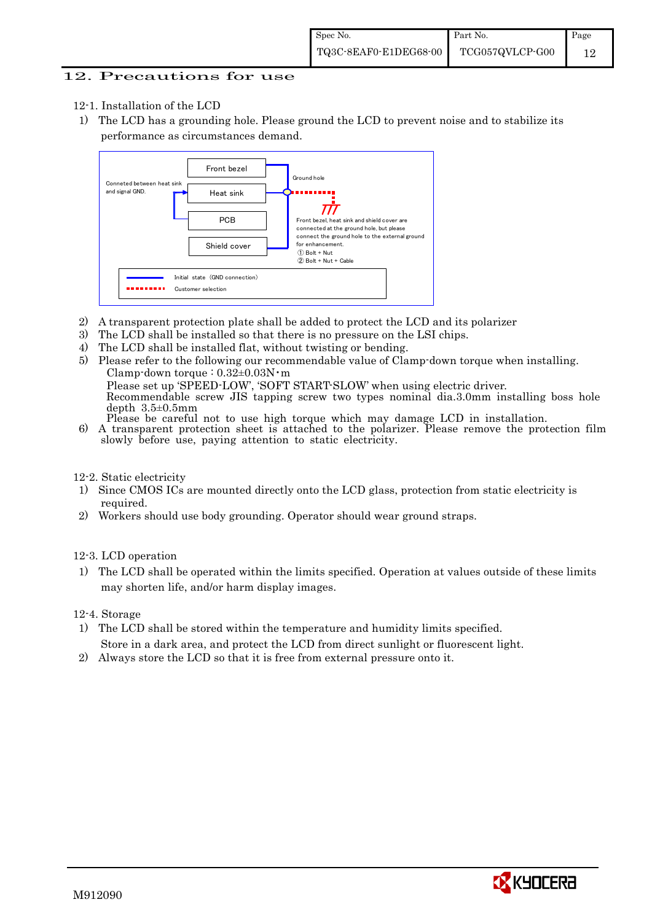#### 12. Precautions for use

- 12-1. Installation of the LCD
- 1) The LCD has a grounding hole. Please ground the LCD to prevent noise and to stabilize its performance as circumstances demand.



- 2) A transparent protection plate shall be added to protect the LCD and its polarizer
- 3) The LCD shall be installed so that there is no pressure on the LSI chips.
- 4) The LCD shall be installed flat, without twisting or bending.
- 5) Please refer to the following our recommendable value of Clamp-down torque when installing. Clamp-down torque :  $0.32 \pm 0.03$ N·m Please set up 'SPEED-LOW', 'SOFT START-SLOW' when using electric driver. Recommendable screw JIS tapping screw two types nominal dia.3.0mm installing boss hole depth 3.5±0.5mm<br>Please be careful not to use high torque which may damage LCD in installation.
- 6) A transparent protection sheet is attached to the polarizer. Please remove the protection film slowly before use, paying attention to static electricity.

12-2. Static electricity

- 1) Since CMOS ICs are mounted directly onto the LCD glass, protection from static electricity is required.
- 2) Workers should use body grounding. Operator should wear ground straps.

12-3. LCD operation

1) The LCD shall be operated within the limits specified. Operation at values outside of these limits may shorten life, and/or harm display images.

12-4. Storage

- 1) The LCD shall be stored within the temperature and humidity limits specified. Store in a dark area, and protect the LCD from direct sunlight or fluorescent light.
- 2) Always store the LCD so that it is free from external pressure onto it.

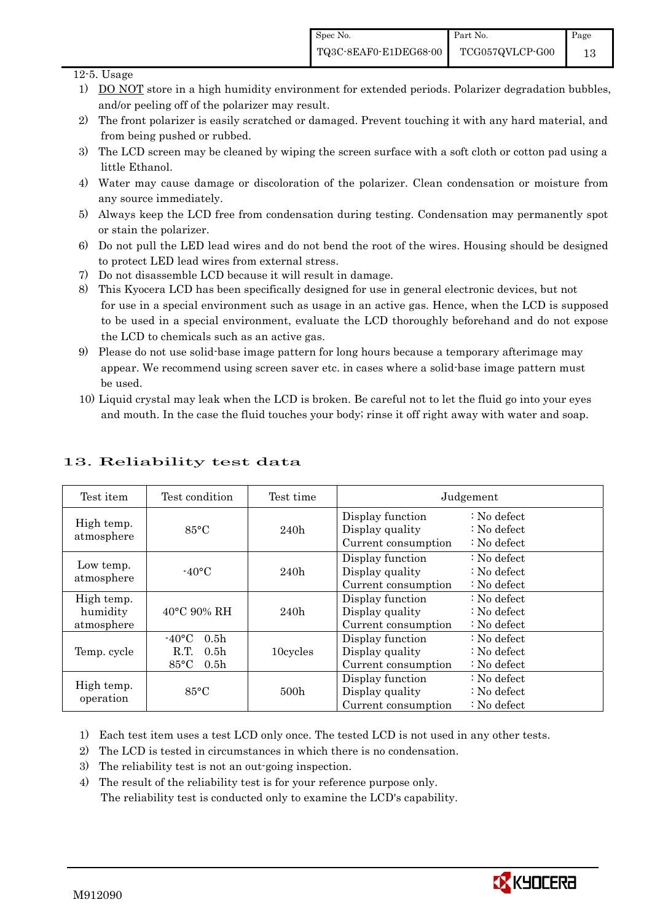13

#### 12-5. Usage

- 1) DO NOT store in a high humidity environment for extended periods. Polarizer degradation bubbles, and/or peeling off of the polarizer may result.
- 2) The front polarizer is easily scratched or damaged. Prevent touching it with any hard material, and from being pushed or rubbed.
- 3) The LCD screen may be cleaned by wiping the screen surface with a soft cloth or cotton pad using a little Ethanol.
- 4) Water may cause damage or discoloration of the polarizer. Clean condensation or moisture from any source immediately.
- 5) Always keep the LCD free from condensation during testing. Condensation may permanently spot or stain the polarizer.
- 6) Do not pull the LED lead wires and do not bend the root of the wires. Housing should be designed to protect LED lead wires from external stress.
- 7) Do not disassemble LCD because it will result in damage.
- 8) This Kyocera LCD has been specifically designed for use in general electronic devices, but not for use in a special environment such as usage in an active gas. Hence, when the LCD is supposed to be used in a special environment, evaluate the LCD thoroughly beforehand and do not expose the LCD to chemicals such as an active gas.
- 9) Please do not use solid-base image pattern for long hours because a temporary afterimage may appear. We recommend using screen saver etc. in cases where a solid-base image pattern must be used.
- 10) Liquid crystal may leak when the LCD is broken. Be careful not to let the fluid go into your eyes and mouth. In the case the fluid touches your body; rinse it off right away with water and soap.

| Test item                            | Test condition                                                                                       | Test time |                                                            | Judgement                                                                  |
|--------------------------------------|------------------------------------------------------------------------------------------------------|-----------|------------------------------------------------------------|----------------------------------------------------------------------------|
| High temp.<br>atmosphere             | $85^{\circ}$ C                                                                                       | 240h      | Display function<br>Display quality<br>Current consumption | $\therefore$ No defect<br>$\therefore$ No defect<br>$\therefore$ No defect |
| Low temp.<br>atmosphere              | $-40\degree C$                                                                                       | 240h      | Display function<br>Display quality<br>Current consumption | $\therefore$ No defect<br>$\therefore$ No defect<br>$\therefore$ No defect |
| High temp.<br>humidity<br>atmosphere | $40^{\circ}$ C 90% RH                                                                                | 240h      | Display function<br>Display quality<br>Current consumption | : No defect<br>$\therefore$ No defect<br>$: No$ defect                     |
| Temp. cycle                          | $-40\degree C$<br>0.5 <sub>h</sub><br>R.T.<br>0.5 <sub>h</sub><br>$85^{\circ}$ C<br>0.5 <sub>h</sub> | 10cycles  | Display function<br>Display quality<br>Current consumption | $\therefore$ No defect<br>: No defect<br>$\therefore$ No defect            |
| High temp.<br>operation              | 85°C                                                                                                 | 500h      | Display function<br>Display quality<br>Current consumption | $\therefore$ No defect<br>$\therefore$ No defect<br>$: No$ defect          |

### 13. Reliability test data

1) Each test item uses a test LCD only once. The tested LCD is not used in any other tests.

- 2) The LCD is tested in circumstances in which there is no condensation.
- 3) The reliability test is not an out-going inspection.
- 4) The result of the reliability test is for your reference purpose only. The reliability test is conducted only to examine the LCD's capability.

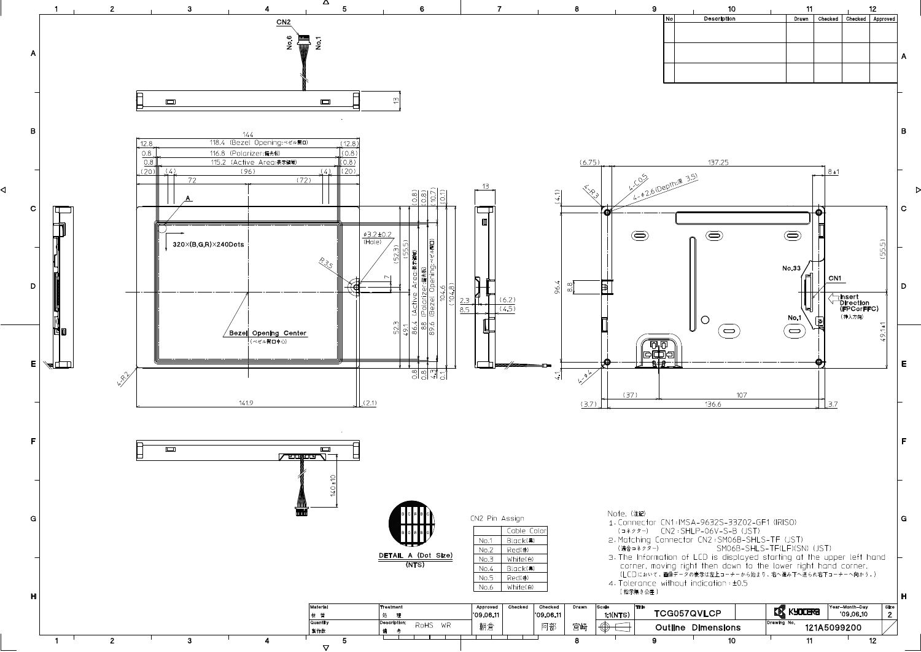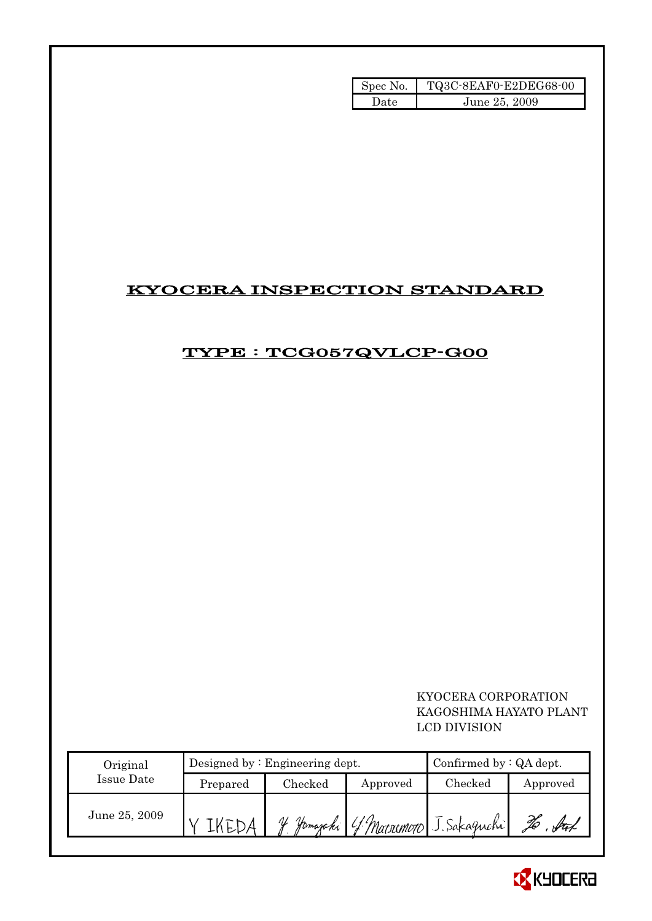| Spec No. | TQ3C-8EAF0-E2DEG68-00 |
|----------|-----------------------|
| Date     | June 25, 2009         |

## KYOCERA INSPECTION STANDARD

### TYPE : TCG057QVLCP-G00

 KYOCERA CORPORATION KAGOSHIMA HAYATO PLANT LCD DIVISION

| Original      |          | Designed by $:$ Engineering dept. | Confirmed by $:QA$ dept. |                                      |          |  |
|---------------|----------|-----------------------------------|--------------------------|--------------------------------------|----------|--|
| Issue Date    | Prepared | Checked                           | Approved                 | Checked                              | Approved |  |
| June 25, 2009 |          | IJ                                |                          | Jamazaki (f. Marsemoro J. Sakaguchi) | X        |  |

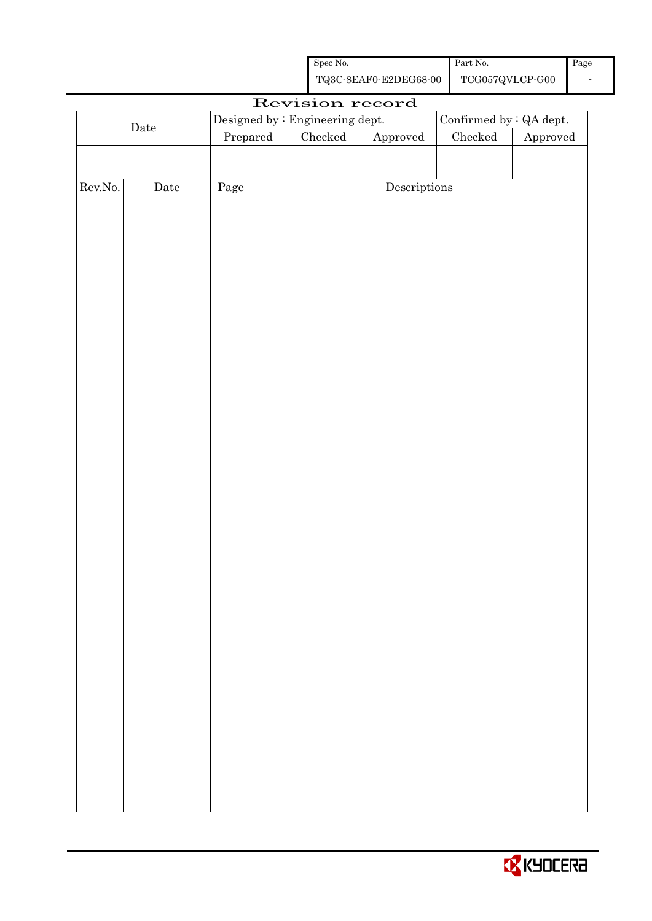| Spec No.              | Part No.        | Page |
|-----------------------|-----------------|------|
| TQ3C-8EAF0-E2DEG68-00 | TCG057QVLCP-G00 |      |

|             |             |          | Revision record                 |                        |                         |          |
|-------------|-------------|----------|---------------------------------|------------------------|-------------------------|----------|
|             |             |          | Designed by : Engineering dept. |                        | Confirmed by : QA dept. |          |
| $\rm{Date}$ |             | Prepared | Checked                         | ${\Large\bf Approved}$ | $\rm Checked$           | Approved |
|             |             |          |                                 |                        |                         |          |
|             |             |          |                                 |                        |                         |          |
| Rev.No.     | $\rm{Date}$ | Page     |                                 | Descriptions           |                         |          |
|             |             |          |                                 |                        |                         |          |
|             |             |          |                                 |                        |                         |          |
|             |             |          |                                 |                        |                         |          |
|             |             |          |                                 |                        |                         |          |
|             |             |          |                                 |                        |                         |          |
|             |             |          |                                 |                        |                         |          |
|             |             |          |                                 |                        |                         |          |
|             |             |          |                                 |                        |                         |          |
|             |             |          |                                 |                        |                         |          |
|             |             |          |                                 |                        |                         |          |
|             |             |          |                                 |                        |                         |          |
|             |             |          |                                 |                        |                         |          |
|             |             |          |                                 |                        |                         |          |
|             |             |          |                                 |                        |                         |          |
|             |             |          |                                 |                        |                         |          |
|             |             |          |                                 |                        |                         |          |
|             |             |          |                                 |                        |                         |          |
|             |             |          |                                 |                        |                         |          |
|             |             |          |                                 |                        |                         |          |
|             |             |          |                                 |                        |                         |          |
|             |             |          |                                 |                        |                         |          |
|             |             |          |                                 |                        |                         |          |
|             |             |          |                                 |                        |                         |          |
|             |             |          |                                 |                        |                         |          |
|             |             |          |                                 |                        |                         |          |
|             |             |          |                                 |                        |                         |          |
|             |             |          |                                 |                        |                         |          |
|             |             |          |                                 |                        |                         |          |
|             |             |          |                                 |                        |                         |          |
|             |             |          |                                 |                        |                         |          |
|             |             |          |                                 |                        |                         |          |
|             |             |          |                                 |                        |                         |          |
|             |             |          |                                 |                        |                         |          |
|             |             |          |                                 |                        |                         |          |
|             |             |          |                                 |                        |                         |          |

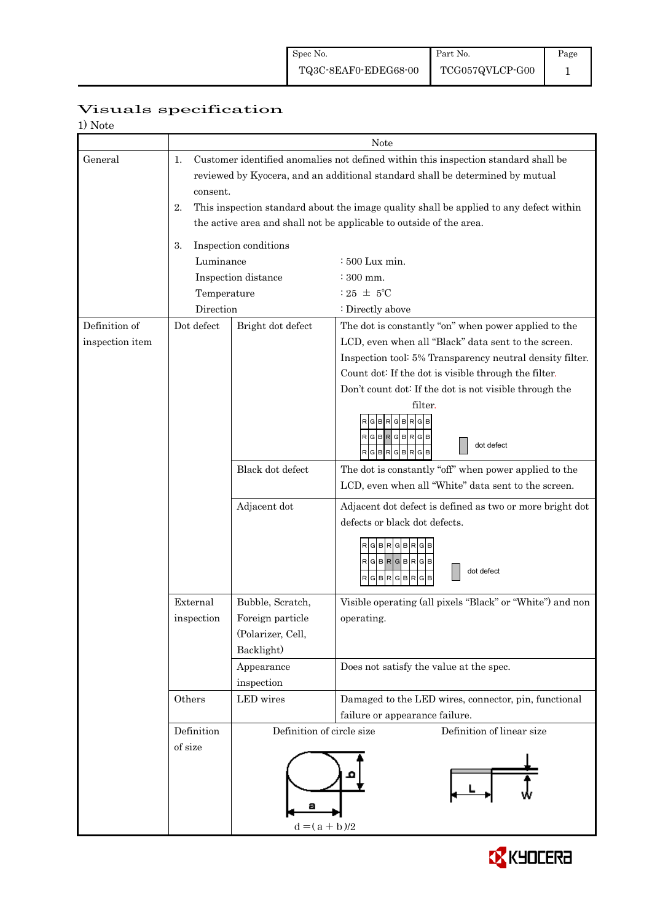1

| 1) Note         |                             |                                                                                        |                                                                                    |  |  |  |  |  |  |
|-----------------|-----------------------------|----------------------------------------------------------------------------------------|------------------------------------------------------------------------------------|--|--|--|--|--|--|
|                 | Note                        |                                                                                        |                                                                                    |  |  |  |  |  |  |
| General         | 1.                          |                                                                                        | Customer identified anomalies not defined within this inspection standard shall be |  |  |  |  |  |  |
|                 |                             |                                                                                        | reviewed by Kyocera, and an additional standard shall be determined by mutual      |  |  |  |  |  |  |
|                 | consent.                    |                                                                                        |                                                                                    |  |  |  |  |  |  |
|                 | 2.                          | This inspection standard about the image quality shall be applied to any defect within |                                                                                    |  |  |  |  |  |  |
|                 |                             |                                                                                        | the active area and shall not be applicable to outside of the area.                |  |  |  |  |  |  |
|                 | Inspection conditions<br>3. |                                                                                        |                                                                                    |  |  |  |  |  |  |
|                 | Luminance                   |                                                                                        | $\div 500$ Lux min.                                                                |  |  |  |  |  |  |
|                 |                             | Inspection distance                                                                    | $\div$ 300 mm.                                                                     |  |  |  |  |  |  |
|                 | Temperature                 |                                                                                        | $:25 \pm 5^{\circ}$ C                                                              |  |  |  |  |  |  |
|                 | Direction                   |                                                                                        | : Directly above                                                                   |  |  |  |  |  |  |
| Definition of   | Dot defect                  | Bright dot defect                                                                      | The dot is constantly "on" when power applied to the                               |  |  |  |  |  |  |
| inspection item |                             |                                                                                        | LCD, even when all "Black" data sent to the screen.                                |  |  |  |  |  |  |
|                 |                             |                                                                                        | Inspection tool: 5% Transparency neutral density filter.                           |  |  |  |  |  |  |
|                 |                             |                                                                                        | Count dot: If the dot is visible through the filter.                               |  |  |  |  |  |  |
|                 |                             |                                                                                        | Don't count dot: If the dot is not visible through the                             |  |  |  |  |  |  |
|                 |                             |                                                                                        | filter.                                                                            |  |  |  |  |  |  |
|                 |                             |                                                                                        | G<br><b>BRG</b>                                                                    |  |  |  |  |  |  |
|                 |                             |                                                                                        | RGBRGBRGB<br>dot defect<br>$R$ G $B$ $R$ G $B$ $R$ G $B$                           |  |  |  |  |  |  |
|                 |                             | Black dot defect                                                                       | The dot is constantly "off" when power applied to the                              |  |  |  |  |  |  |
|                 |                             |                                                                                        | LCD, even when all "White" data sent to the screen.                                |  |  |  |  |  |  |
|                 |                             | Adjacent dot                                                                           | Adjacent dot defect is defined as two or more bright dot                           |  |  |  |  |  |  |
|                 |                             |                                                                                        | defects or black dot defects.                                                      |  |  |  |  |  |  |
|                 |                             |                                                                                        | $R$ G $B$ R $G$ B $R$ G $B$                                                        |  |  |  |  |  |  |
|                 |                             |                                                                                        | $RG$ B $RG$ B $RG$ B                                                               |  |  |  |  |  |  |
|                 |                             |                                                                                        | dot defect<br>RGBRGBR<br>G                                                         |  |  |  |  |  |  |
|                 |                             |                                                                                        |                                                                                    |  |  |  |  |  |  |
|                 | External                    | Bubble, Scratch,                                                                       | Visible operating (all pixels "Black" or "White") and non                          |  |  |  |  |  |  |
|                 | inspection                  | Foreign particle<br>(Polarizer, Cell,                                                  | operating.                                                                         |  |  |  |  |  |  |
|                 |                             | Backlight)                                                                             |                                                                                    |  |  |  |  |  |  |
|                 |                             | Appearance                                                                             | Does not satisfy the value at the spec.                                            |  |  |  |  |  |  |
|                 |                             | inspection                                                                             |                                                                                    |  |  |  |  |  |  |
|                 | Others                      | LED wires                                                                              | Damaged to the LED wires, connector, pin, functional                               |  |  |  |  |  |  |
|                 |                             |                                                                                        | failure or appearance failure.                                                     |  |  |  |  |  |  |
|                 | Definition                  | Definition of circle size                                                              | Definition of linear size                                                          |  |  |  |  |  |  |
|                 | of size                     |                                                                                        |                                                                                    |  |  |  |  |  |  |
|                 |                             |                                                                                        |                                                                                    |  |  |  |  |  |  |
|                 |                             |                                                                                        |                                                                                    |  |  |  |  |  |  |
|                 |                             |                                                                                        |                                                                                    |  |  |  |  |  |  |
|                 |                             |                                                                                        |                                                                                    |  |  |  |  |  |  |
|                 |                             | $d = (a + b)/2$                                                                        |                                                                                    |  |  |  |  |  |  |